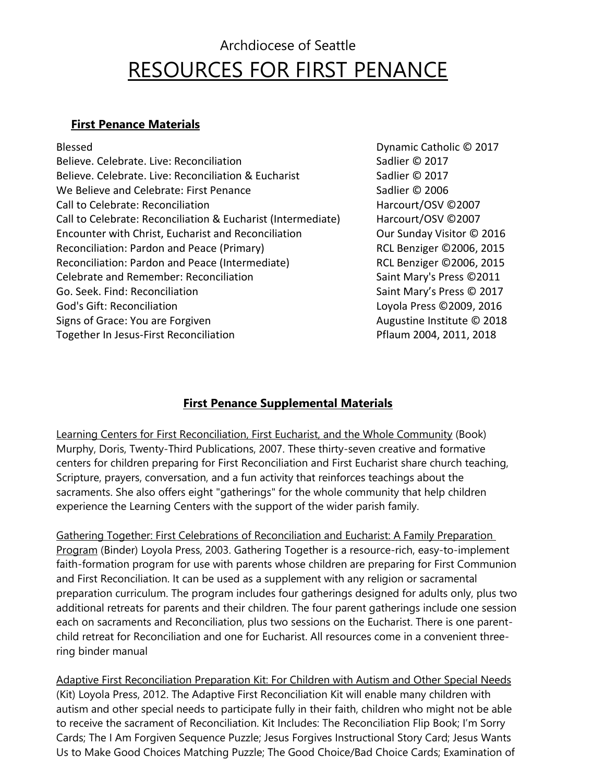## Archdiocese of Seattle RESOURCES FOR FIRST PENANCE

## **First Penance Materials**

| <b>Blessed</b>                                               | Dynamic Catholic © 2017   |
|--------------------------------------------------------------|---------------------------|
| Believe. Celebrate. Live: Reconciliation                     | Sadlier © 2017            |
| Believe. Celebrate. Live: Reconciliation & Eucharist         | Sadlier © 2017            |
| We Believe and Celebrate: First Penance                      | Sadlier © 2006            |
| Call to Celebrate: Reconciliation                            | Harcourt/OSV ©2007        |
| Call to Celebrate: Reconciliation & Eucharist (Intermediate) | Harcourt/OSV ©2007        |
| Encounter with Christ, Eucharist and Reconciliation          | Our Sunday Visitor © 201  |
| Reconciliation: Pardon and Peace (Primary)                   | RCL Benziger ©2006, 201   |
| Reconciliation: Pardon and Peace (Intermediate)              | RCL Benziger ©2006, 201!  |
| Celebrate and Remember: Reconciliation                       | Saint Mary's Press ©2011  |
| Go. Seek. Find: Reconciliation                               | Saint Mary's Press © 2017 |
| <b>God's Gift: Reconciliation</b>                            | Loyola Press ©2009, 2016  |
| Signs of Grace: You are Forgiven                             | Augustine Institute © 201 |
| Together In Jesus-First Reconciliation                       | Pflaum 2004, 2011, 2018   |
|                                                              |                           |

ier © 2017 ourt/OSV ©2007 Ourt/OSV ©2007 Sunday Visitor © 2016 Benziger ©2006, 2015 Benziger ©2006, 2015 Mary's Press ©2011 Mary's Press © 2017 la Press ©2009, 2016 Istine Institute © 2018 m 2004, 2011, 2018

## **First Penance Supplemental Materials**

Learning Centers for First Reconciliation, First Eucharist, and the Whole Community (Book) Murphy, Doris, Twenty-Third Publications, 2007. These thirty-seven creative and formative centers for children preparing for First Reconciliation and First Eucharist share church teaching, Scripture, prayers, conversation, and a fun activity that reinforces teachings about the sacraments. She also offers eight "gatherings" for the whole community that help children experience the Learning Centers with the support of the wider parish family.

Gathering Together: First Celebrations of Reconciliation and Eucharist: A Family Preparation Program (Binder) Loyola Press, 2003. Gathering Together is a resource-rich, easy-to-implement faith-formation program for use with parents whose children are preparing for First Communion and First Reconciliation. It can be used as a supplement with any religion or sacramental preparation curriculum. The program includes four gatherings designed for adults only, plus two additional retreats for parents and their children. The four parent gatherings include one session each on sacraments and Reconciliation, plus two sessions on the Eucharist. There is one parentchild retreat for Reconciliation and one for Eucharist. All resources come in a convenient threering binder manual

Adaptive First Reconciliation Preparation Kit: For Children with Autism and Other Special Needs (Kit) Loyola Press, 2012. The Adaptive First Reconciliation Kit will enable many children with autism and other special needs to participate fully in their faith, children who might not be able to receive the sacrament of Reconciliation. Kit Includes: The Reconciliation Flip Book; I'm Sorry Cards; The I Am Forgiven Sequence Puzzle; Jesus Forgives Instructional Story Card; Jesus Wants Us to Make Good Choices Matching Puzzle; The Good Choice/Bad Choice Cards; Examination of